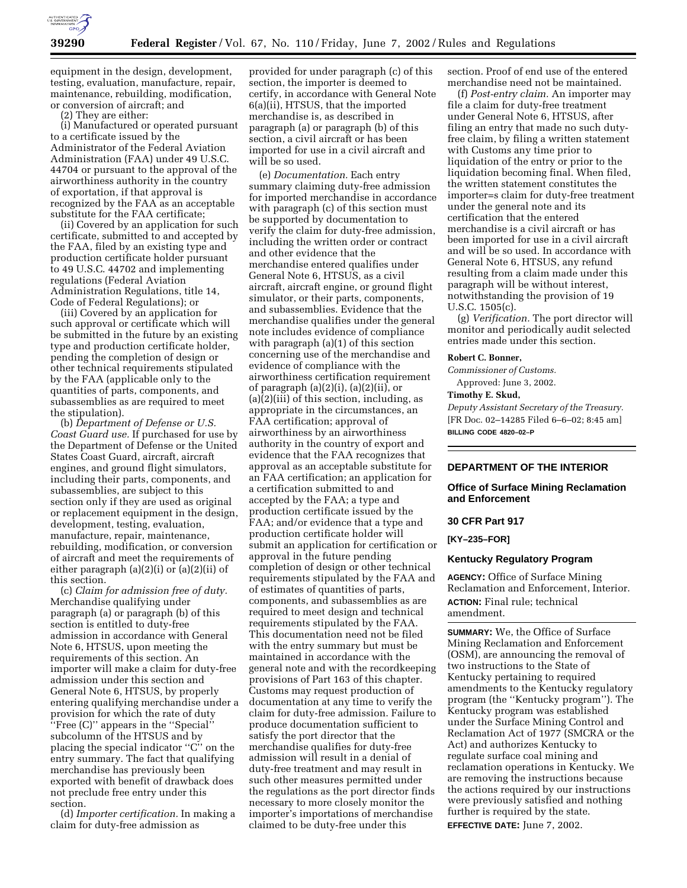

equipment in the design, development, testing, evaluation, manufacture, repair, maintenance, rebuilding, modification, or conversion of aircraft; and

(2) They are either:

(i) Manufactured or operated pursuant to a certificate issued by the Administrator of the Federal Aviation Administration (FAA) under 49 U.S.C. 44704 or pursuant to the approval of the airworthiness authority in the country of exportation, if that approval is recognized by the FAA as an acceptable substitute for the FAA certificate;

(ii) Covered by an application for such certificate, submitted to and accepted by the FAA, filed by an existing type and production certificate holder pursuant to 49 U.S.C. 44702 and implementing regulations (Federal Aviation Administration Regulations, title 14, Code of Federal Regulations); or

(iii) Covered by an application for such approval or certificate which will be submitted in the future by an existing type and production certificate holder, pending the completion of design or other technical requirements stipulated by the FAA (applicable only to the quantities of parts, components, and subassemblies as are required to meet the stipulation).

(b) *Department of Defense or U.S. Coast Guard use.* If purchased for use by the Department of Defense or the United States Coast Guard, aircraft, aircraft engines, and ground flight simulators, including their parts, components, and subassemblies, are subject to this section only if they are used as original or replacement equipment in the design, development, testing, evaluation, manufacture, repair, maintenance, rebuilding, modification, or conversion of aircraft and meet the requirements of either paragraph (a)(2)(i) or (a)(2)(ii) of this section.

(c) *Claim for admission free of duty.* Merchandise qualifying under paragraph (a) or paragraph (b) of this section is entitled to duty-free admission in accordance with General Note 6, HTSUS, upon meeting the requirements of this section. An importer will make a claim for duty-free admission under this section and General Note 6, HTSUS, by properly entering qualifying merchandise under a provision for which the rate of duty ''Free (C)'' appears in the ''Special'' subcolumn of the HTSUS and by placing the special indicator ''C'' on the entry summary. The fact that qualifying merchandise has previously been exported with benefit of drawback does not preclude free entry under this section.

(d) *Importer certification.* In making a claim for duty-free admission as

provided for under paragraph (c) of this section, the importer is deemed to certify, in accordance with General Note 6(a)(ii), HTSUS, that the imported merchandise is, as described in paragraph (a) or paragraph (b) of this section, a civil aircraft or has been imported for use in a civil aircraft and will be so used.

(e) *Documentation.* Each entry summary claiming duty-free admission for imported merchandise in accordance with paragraph (c) of this section must be supported by documentation to verify the claim for duty-free admission, including the written order or contract and other evidence that the merchandise entered qualifies under General Note 6, HTSUS, as a civil aircraft, aircraft engine, or ground flight simulator, or their parts, components, and subassemblies. Evidence that the merchandise qualifies under the general note includes evidence of compliance with paragraph (a)(1) of this section concerning use of the merchandise and evidence of compliance with the airworthiness certification requirement of paragraph  $(a)(2)(i)$ ,  $(a)(2)(ii)$ , or  $(a)$  $(\overline{2})$  $(iii)$  of this section, including, as appropriate in the circumstances, an FAA certification; approval of airworthiness by an airworthiness authority in the country of export and evidence that the FAA recognizes that approval as an acceptable substitute for an FAA certification; an application for a certification submitted to and accepted by the FAA; a type and production certificate issued by the FAA; and/or evidence that a type and production certificate holder will submit an application for certification or approval in the future pending completion of design or other technical requirements stipulated by the FAA and of estimates of quantities of parts, components, and subassemblies as are required to meet design and technical requirements stipulated by the FAA. This documentation need not be filed with the entry summary but must be maintained in accordance with the general note and with the recordkeeping provisions of Part 163 of this chapter. Customs may request production of documentation at any time to verify the claim for duty-free admission. Failure to produce documentation sufficient to satisfy the port director that the merchandise qualifies for duty-free admission will result in a denial of duty-free treatment and may result in such other measures permitted under the regulations as the port director finds necessary to more closely monitor the importer's importations of merchandise claimed to be duty-free under this

section. Proof of end use of the entered merchandise need not be maintained.

(f) *Post-entry claim.* An importer may file a claim for duty-free treatment under General Note 6, HTSUS, after filing an entry that made no such dutyfree claim, by filing a written statement with Customs any time prior to liquidation of the entry or prior to the liquidation becoming final. When filed, the written statement constitutes the importer=s claim for duty-free treatment under the general note and its certification that the entered merchandise is a civil aircraft or has been imported for use in a civil aircraft and will be so used. In accordance with General Note 6, HTSUS, any refund resulting from a claim made under this paragraph will be without interest, notwithstanding the provision of 19 U.S.C. 1505(c).

(g) *Verification.* The port director will monitor and periodically audit selected entries made under this section.

### **Robert C. Bonner,**

*Commissioner of Customs.*  Approved: June 3, 2002.

## **Timothy E. Skud,**

*Deputy Assistant Secretary of the Treasury.* [FR Doc. 02–14285 Filed 6–6–02; 8:45 am] **BILLING CODE 4820–02–P**

## **DEPARTMENT OF THE INTERIOR**

### **Office of Surface Mining Reclamation and Enforcement**

#### **30 CFR Part 917**

**[KY–235–FOR]** 

#### **Kentucky Regulatory Program**

**AGENCY:** Office of Surface Mining Reclamation and Enforcement, Interior. **ACTION:** Final rule; technical amendment.

**SUMMARY:** We, the Office of Surface Mining Reclamation and Enforcement (OSM), are announcing the removal of two instructions to the State of Kentucky pertaining to required amendments to the Kentucky regulatory program (the ''Kentucky program''). The Kentucky program was established under the Surface Mining Control and Reclamation Act of 1977 (SMCRA or the Act) and authorizes Kentucky to regulate surface coal mining and reclamation operations in Kentucky. We are removing the instructions because the actions required by our instructions were previously satisfied and nothing further is required by the state. **EFFECTIVE DATE:** June 7, 2002.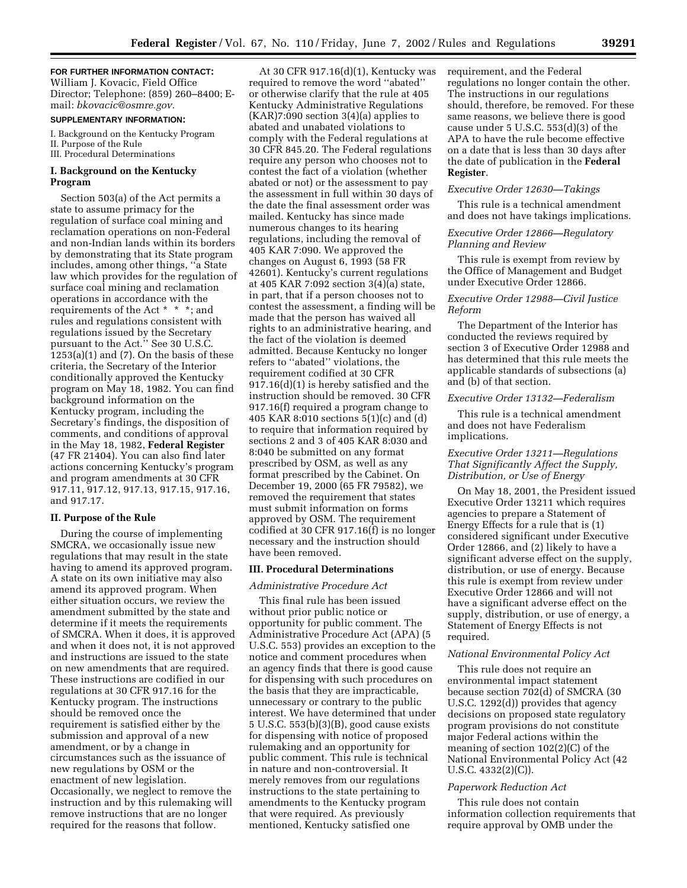## **FOR FURTHER INFORMATION CONTACT:**

William J. Kovacic, Field Office Director; Telephone: (859) 260–8400; Email: *bkovacic@osmre.gov.*

### **SUPPLEMENTARY INFORMATION:**

I. Background on the Kentucky Program II. Purpose of the Rule III. Procedural Determinations

## **I. Background on the Kentucky Program**

Section 503(a) of the Act permits a state to assume primacy for the regulation of surface coal mining and reclamation operations on non-Federal and non-Indian lands within its borders by demonstrating that its State program includes, among other things, ''a State law which provides for the regulation of surface coal mining and reclamation operations in accordance with the requirements of the Act \* \* \*; and rules and regulations consistent with regulations issued by the Secretary pursuant to the Act.'' See 30 U.S.C.  $1253(a)(1)$  and  $(7)$ . On the basis of these criteria, the Secretary of the Interior conditionally approved the Kentucky program on May 18, 1982. You can find background information on the Kentucky program, including the Secretary's findings, the disposition of comments, and conditions of approval in the May 18, 1982, **Federal Register** (47 FR 21404). You can also find later actions concerning Kentucky's program and program amendments at 30 CFR 917.11, 917.12, 917.13, 917.15, 917.16, and 917.17.

### **II. Purpose of the Rule**

During the course of implementing SMCRA, we occasionally issue new regulations that may result in the state having to amend its approved program. A state on its own initiative may also amend its approved program. When either situation occurs, we review the amendment submitted by the state and determine if it meets the requirements of SMCRA. When it does, it is approved and when it does not, it is not approved and instructions are issued to the state on new amendments that are required. These instructions are codified in our regulations at 30 CFR 917.16 for the Kentucky program. The instructions should be removed once the requirement is satisfied either by the submission and approval of a new amendment, or by a change in circumstances such as the issuance of new regulations by OSM or the enactment of new legislation. Occasionally, we neglect to remove the instruction and by this rulemaking will remove instructions that are no longer required for the reasons that follow.

At 30 CFR 917.16(d)(1), Kentucky was required to remove the word ''abated'' or otherwise clarify that the rule at 405 Kentucky Administrative Regulations  $(KAR)$ 7:090 section 3(4)(a) applies to abated and unabated violations to comply with the Federal regulations at 30 CFR 845.20. The Federal regulations require any person who chooses not to contest the fact of a violation (whether abated or not) or the assessment to pay the assessment in full within 30 days of the date the final assessment order was mailed. Kentucky has since made numerous changes to its hearing regulations, including the removal of 405 KAR 7:090. We approved the changes on August 6, 1993 (58 FR 42601). Kentucky's current regulations at 405 KAR 7:092 section 3(4)(a) state, in part, that if a person chooses not to contest the assessment, a finding will be made that the person has waived all rights to an administrative hearing, and the fact of the violation is deemed admitted. Because Kentucky no longer refers to ''abated'' violations, the requirement codified at 30 CFR 917.16(d)(1) is hereby satisfied and the instruction should be removed. 30 CFR 917.16(f) required a program change to 405 KAR 8:010 sections 5(1)(c) and (d) to require that information required by sections 2 and 3 of 405 KAR 8:030 and 8:040 be submitted on any format prescribed by OSM, as well as any format prescribed by the Cabinet. On December 19, 2000 (65 FR 79582), we removed the requirement that states must submit information on forms approved by OSM. The requirement codified at 30 CFR 917.16(f) is no longer necessary and the instruction should have been removed.

### **III. Procedural Determinations**

# *Administrative Procedure Act*

This final rule has been issued without prior public notice or opportunity for public comment. The Administrative Procedure Act (APA) (5 U.S.C. 553) provides an exception to the notice and comment procedures when an agency finds that there is good cause for dispensing with such procedures on the basis that they are impracticable, unnecessary or contrary to the public interest. We have determined that under 5 U.S.C. 553(b)(3)(B), good cause exists for dispensing with notice of proposed rulemaking and an opportunity for public comment. This rule is technical in nature and non-controversial. It merely removes from our regulations instructions to the state pertaining to amendments to the Kentucky program that were required. As previously mentioned, Kentucky satisfied one

requirement, and the Federal regulations no longer contain the other. The instructions in our regulations should, therefore, be removed. For these same reasons, we believe there is good cause under 5 U.S.C. 553(d)(3) of the APA to have the rule become effective on a date that is less than 30 days after the date of publication in the **Federal Register**.

#### *Executive Order 12630—Takings*

This rule is a technical amendment and does not have takings implications.

### *Executive Order 12866—Regulatory Planning and Review*

This rule is exempt from review by the Office of Management and Budget under Executive Order 12866.

## *Executive Order 12988—Civil Justice Reform*

The Department of the Interior has conducted the reviews required by section 3 of Executive Order 12988 and has determined that this rule meets the applicable standards of subsections (a) and (b) of that section.

#### *Executive Order 13132—Federalism*

This rule is a technical amendment and does not have Federalism implications.

## *Executive Order 13211—Regulations That Significantly Affect the Supply, Distribution, or Use of Energy*

On May 18, 2001, the President issued Executive Order 13211 which requires agencies to prepare a Statement of Energy Effects for a rule that is (1) considered significant under Executive Order 12866, and (2) likely to have a significant adverse effect on the supply, distribution, or use of energy. Because this rule is exempt from review under Executive Order 12866 and will not have a significant adverse effect on the supply, distribution, or use of energy, a Statement of Energy Effects is not required.

### *National Environmental Policy Act*

This rule does not require an environmental impact statement because section 702(d) of SMCRA (30 U.S.C. 1292(d)) provides that agency decisions on proposed state regulatory program provisions do not constitute major Federal actions within the meaning of section 102(2)(C) of the National Environmental Policy Act (42 U.S.C. 4332(2)(C)).

## *Paperwork Reduction Act*

This rule does not contain information collection requirements that require approval by OMB under the